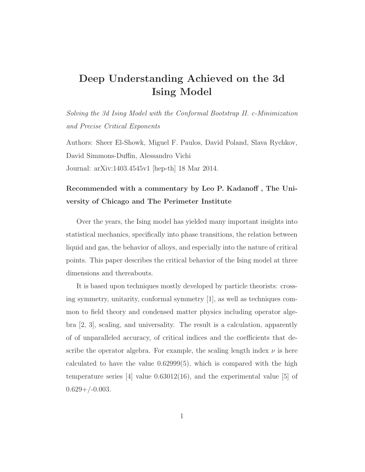## Deep Understanding Achieved on the 3d Ising Model

Solving the 3d Ising Model with the Conformal Bootstrap II. c-Minimization and Precise Critical Exponents

Authors: Sheer El-Showk, Miguel F. Paulos, David Poland, Slava Rychkov, David Simmons-Duffin, Alessandro Vichi Journal: arXiv:1403.4545v1 [hep-th] 18 Mar 2014.

## Recommended with a commentary by Leo P. Kadanoff , The University of Chicago and The Perimeter Institute

Over the years, the Ising model has yielded many important insights into statistical mechanics, specifically into phase transitions, the relation between liquid and gas, the behavior of alloys, and especially into the nature of critical points. This paper describes the critical behavior of the Ising model at three dimensions and thereabouts.

It is based upon techniques mostly developed by particle theorists: crossing symmetry, unitarity, conformal symmetry [1], as well as techniques common to field theory and condensed matter physics including operator algebra [2, 3], scaling, and universality. The result is a calculation, apparently of of unparalleled accuracy, of critical indices and the coefficients that describe the operator algebra. For example, the scaling length index  $\nu$  is here calculated to have the value  $0.62999(5)$ , which is compared with the high temperature series [4] value 0.63012(16), and the experimental value [5] of  $0.629+/-0.003$ .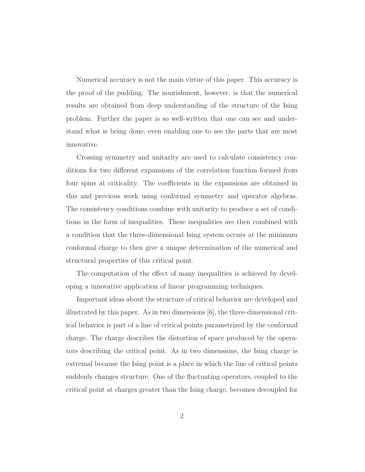Numerical accuracy is not the main virtue of this paper. This accuracy is the proof of the pudding. The nourishment, however, is that the numerical results are obtained from deep understanding of the structure of the Ising problem. Further the paper is so well-written that one can see and understand what is being done, even enabling one to see the parts that are most innovative.

Crossing symmetry and unitarity are used to calculate consistency conditions for two different expansions of the correlation function formed from four spins at criticality. The coefficients in the expansions are obtained in this and previous work using conformal symmetry and operator algebras. The consistency conditions combine with unitarity to produce a set of conditions in the form of inequalities. These inequalities are then combined with a condition that the three-dimensional Ising system occurs at the minimum conformal charge to then give a unique determination of the numerical and structural properties of this critical point.

The computation of the effect of many inequalities is achieved by developing a innovative application of linear programming techniques.

Important ideas about the structure of critical behavior are developed and illustrated by this paper. As in two dimensions [6], the three-dimensional critical behavior is part of a line of critical points parametrized by the conformal charge. The charge describes the distortion of space produced by the operators describing the critical point. As in two dimensions, the Ising charge is extremal because the Ising point is a place in which the line of critical points suddenly changes structure. One of the fluctuating operators, coupled to the critical point at charges greater than the Ising charge, becomes decoupled for